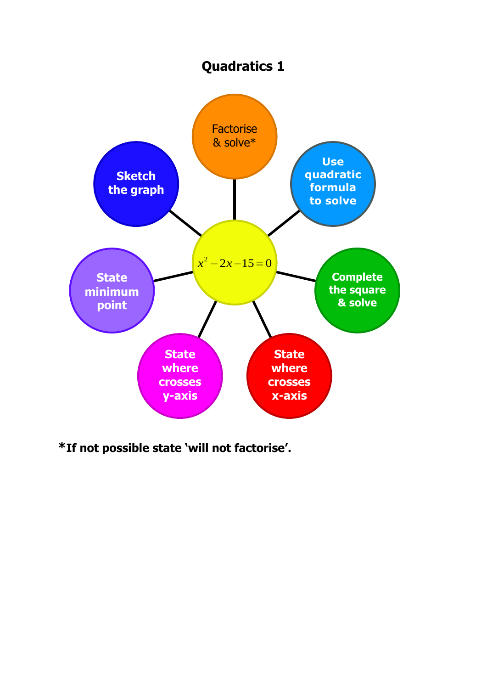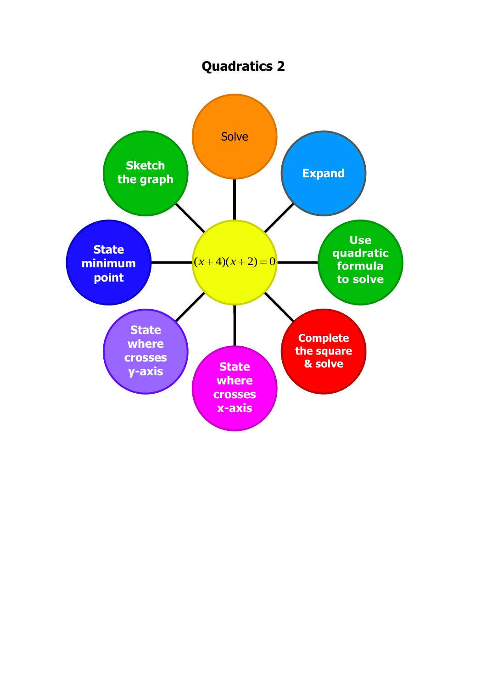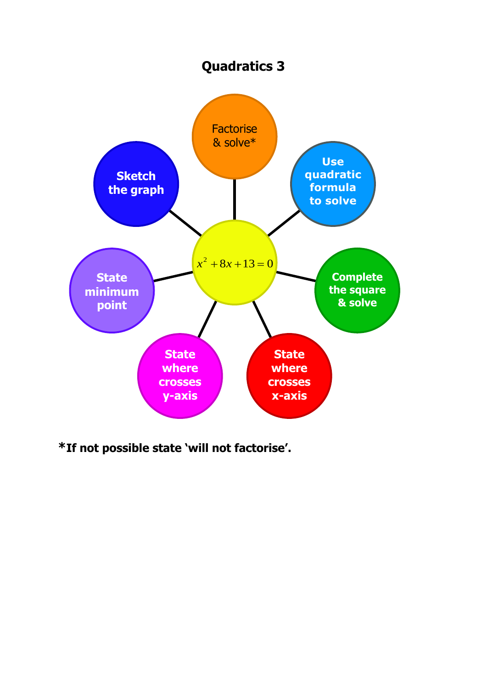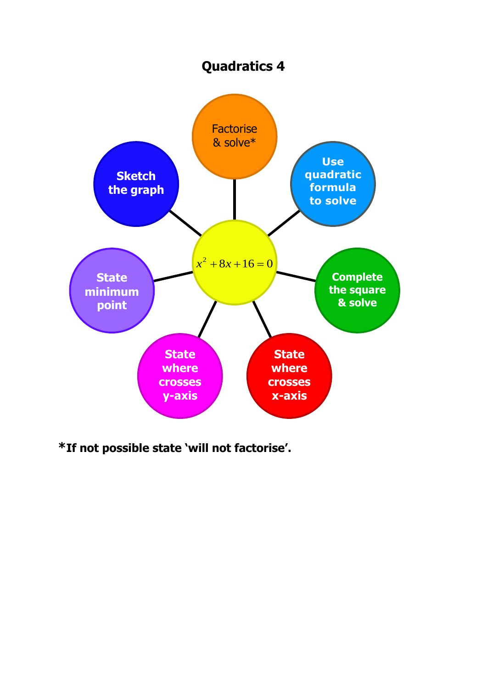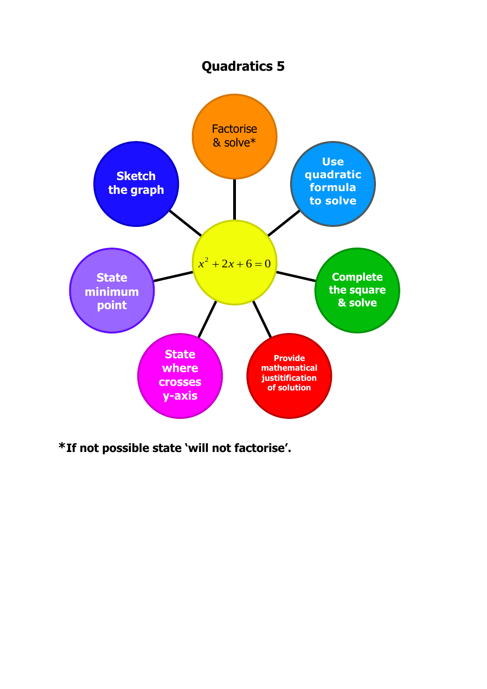